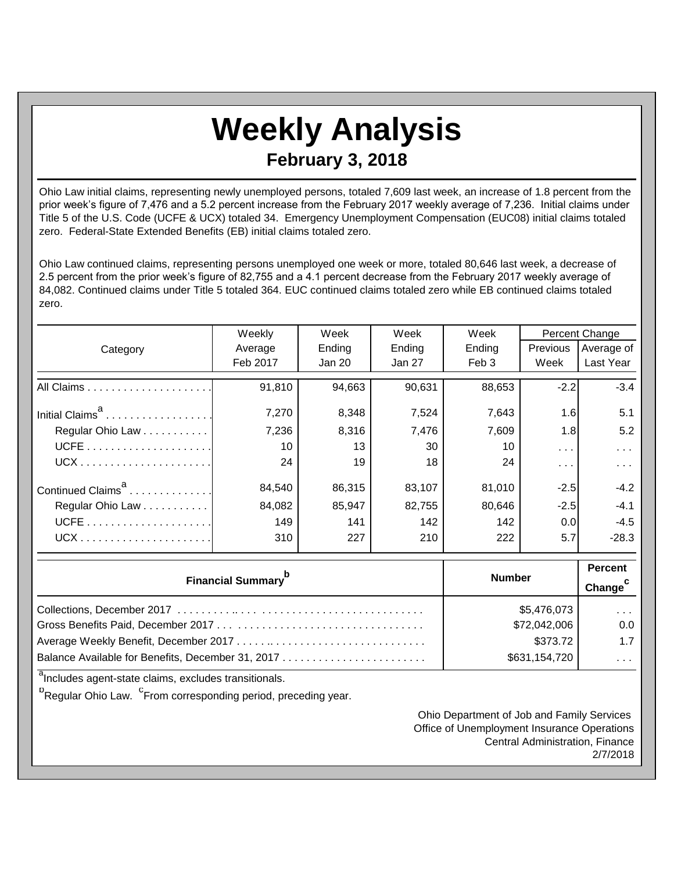## **Weekly Analysis February 3, 2018**

Ohio Law initial claims, representing newly unemployed persons, totaled 7,609 last week, an increase of 1.8 percent from the prior week's figure of 7,476 and a 5.2 percent increase from the February 2017 weekly average of 7,236. Initial claims under Title 5 of the U.S. Code (UCFE & UCX) totaled 34. Emergency Unemployment Compensation (EUC08) initial claims totaled zero. Federal-State Extended Benefits (EB) initial claims totaled zero.

Ohio Law continued claims, representing persons unemployed one week or more, totaled 80,646 last week, a decrease of 2.5 percent from the prior week's figure of 82,755 and a 4.1 percent decrease from the February 2017 weekly average of 84,082. Continued claims under Title 5 totaled 364. EUC continued claims totaled zero while EB continued claims totaled zero.

|                               | Weekly           | Week          | Week                | Week             | Percent Change |                         |
|-------------------------------|------------------|---------------|---------------------|------------------|----------------|-------------------------|
| Category                      | Average          | Ending        | Ending              | Ending           | Previous       | Average of              |
|                               | Feb 2017         | <b>Jan 20</b> | Jan 27              | Feb <sub>3</sub> | Week           | Last Year               |
|                               | 91,810           | 94,663        | 90,631              | 88,653           | $-2.2$         | $-3.4$                  |
| Initial Claims <sup>a</sup>   | 7,270            | 8,348         | 7,524               | 7,643            | 1.6            | 5.1                     |
| Regular Ohio Law              | 7,236            | 8,316         | 7,476               | 7,609            | 1.8            | 5.2                     |
|                               | 10               | 13            | 30                  | 10               | $\sim 100$     | .                       |
|                               | 24               | 19            | 18                  | 24               | $\cdots$       | $\sim 100$ km s $^{-1}$ |
| Continued Claims <sup>a</sup> | 84,540           | 86,315        | 83,107              | 81,010           | $-2.5$         | $-4.2$                  |
| Regular Ohio Law              | 84,082           | 85,947        | 82,755              | 80,646           | $-2.5$         | $-4.1$                  |
|                               | 149              | 141           | 142                 | 142              | 0.0            | $-4.5$                  |
|                               | 310              | 227           | 210                 | 222              | 5.7            | $-28.3$                 |
|                               | <b>Number</b>    |               | <b>Percent</b>      |                  |                |                         |
| <b>Financial Summary</b>      |                  |               | Change <sup>c</sup> |                  |                |                         |
| Colloctions December 2017     | $QE$ $A76$ $072$ |               |                     |                  |                |                         |

| \$5,476,073   | $\sim$ $\sim$ $\sim$ |
|---------------|----------------------|
| \$72,042,006  | 0.0                  |
| \$373.72      | 1.7                  |
| \$631,154,720 | $\sim$ $\sim$ $\sim$ |

<sup>a</sup>Includes agent-state claims, excludes transitionals.

<sup>b</sup>Regular Ohio Law. <sup>C</sup>From corresponding period, preceding year.

Ohio Department of Job and Family Services Office of Unemployment Insurance Operations Central Administration, Finance 2/7/2018